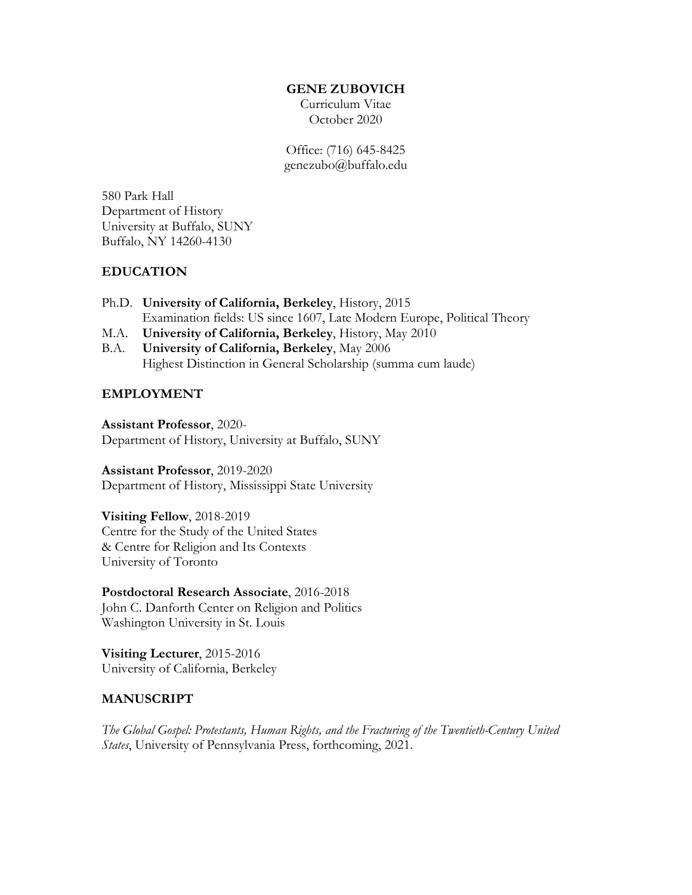#### **GENE ZUBOVICH**

Curriculum Vitae October 2020

Office: (716) 645-8425 genezubo@buffalo.edu

580 Park Hall Department of History University at Buffalo, SUNY Buffalo, NY 14260-4130

## **EDUCATION**

- Ph.D. **University of California, Berkeley**, History, 2015 Examination fields: US since 1607, Late Modern Europe, Political Theory
- M.A. **University of California, Berkeley**, History, May 2010
- B.A. **University of California, Berkeley**, May 2006 Highest Distinction in General Scholarship (summa cum laude)

## **EMPLOYMENT**

**Assistant Professor**, 2020- Department of History, University at Buffalo, SUNY

**Assistant Professor**, 2019-2020 Department of History, Mississippi State University

**Visiting Fellow**, 2018-2019 Centre for the Study of the United States & Centre for Religion and Its Contexts University of Toronto

**Postdoctoral Research Associate**, 2016-2018 John C. Danforth Center on Religion and Politics Washington University in St. Louis

**Visiting Lecturer**, 2015-2016 University of California, Berkeley

### **MANUSCRIPT**

*The Global Gospel: Protestants, Human Rights, and the Fracturing of the Twentieth-Century United States*, University of Pennsylvania Press, forthcoming, 2021.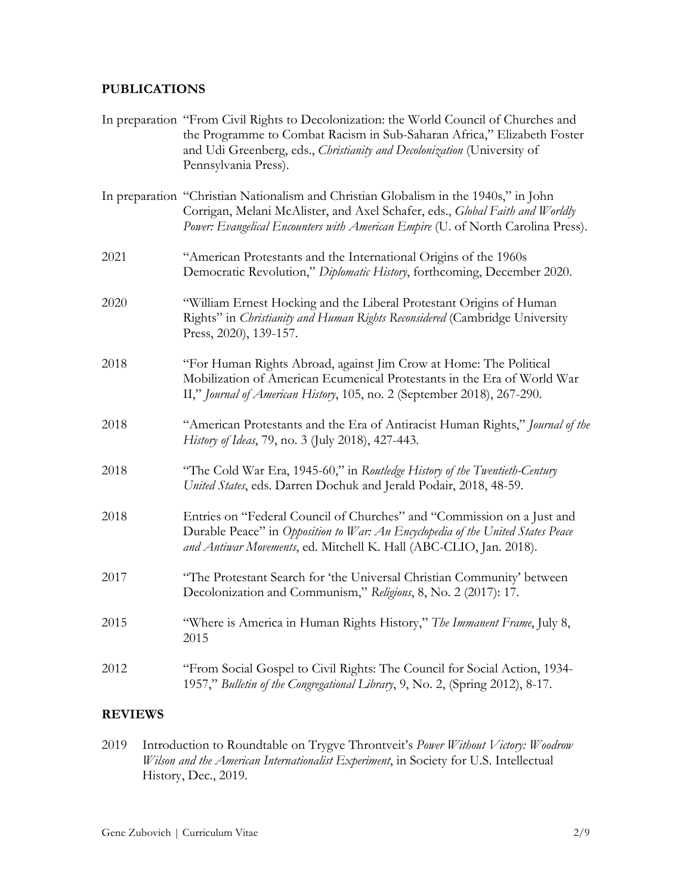# **PUBLICATIONS**

|      | In preparation "From Civil Rights to Decolonization: the World Council of Churches and<br>the Programme to Combat Racism in Sub-Saharan Africa," Elizabeth Foster<br>and Udi Greenberg, eds., Christianity and Decolonization (University of<br>Pennsylvania Press). |
|------|----------------------------------------------------------------------------------------------------------------------------------------------------------------------------------------------------------------------------------------------------------------------|
|      | In preparation "Christian Nationalism and Christian Globalism in the 1940s," in John<br>Corrigan, Melani McAlister, and Axel Schafer, eds., Global Faith and Worldly<br>Power: Evangelical Encounters with American Empire (U. of North Carolina Press).             |
| 2021 | "American Protestants and the International Origins of the 1960s<br>Democratic Revolution," Diplomatic History, forthcoming, December 2020.                                                                                                                          |
| 2020 | "William Ernest Hocking and the Liberal Protestant Origins of Human<br>Rights" in Christianity and Human Rights Reconsidered (Cambridge University<br>Press, 2020), 139-157.                                                                                         |
| 2018 | "For Human Rights Abroad, against Jim Crow at Home: The Political<br>Mobilization of American Ecumenical Protestants in the Era of World War<br>II," Journal of American History, 105, no. 2 (September 2018), 267-290.                                              |
| 2018 | "American Protestants and the Era of Antiracist Human Rights," Journal of the<br>History of Ideas, 79, no. 3 (July 2018), 427-443.                                                                                                                                   |
| 2018 | "The Cold War Era, 1945-60," in Routledge History of the Twentieth-Century<br>United States, eds. Darren Dochuk and Jerald Podair, 2018, 48-59.                                                                                                                      |
| 2018 | Entries on "Federal Council of Churches" and "Commission on a Just and<br>Durable Peace" in Opposition to War: An Encyclopedia of the United States Peace<br>and Antiwar Movements, ed. Mitchell K. Hall (ABC-CLIO, Jan. 2018).                                      |
| 2017 | "The Protestant Search for 'the Universal Christian Community' between<br>Decolonization and Communism," Religions, 8, No. 2 (2017): 17.                                                                                                                             |
| 2015 | "Where is America in Human Rights History," The Immanent Frame, July 8,<br>2015                                                                                                                                                                                      |
| 2012 | "From Social Gospel to Civil Rights: The Council for Social Action, 1934-<br>1957," Bulletin of the Congregational Library, 9, No. 2, (Spring 2012), 8-17.                                                                                                           |

## **REVIEWS**

2019 Introduction to Roundtable on Trygve Throntveit's *Power Without Victory: Woodrow Wilson and the American Internationalist Experiment*, in Society for U.S. Intellectual History, Dec., 2019.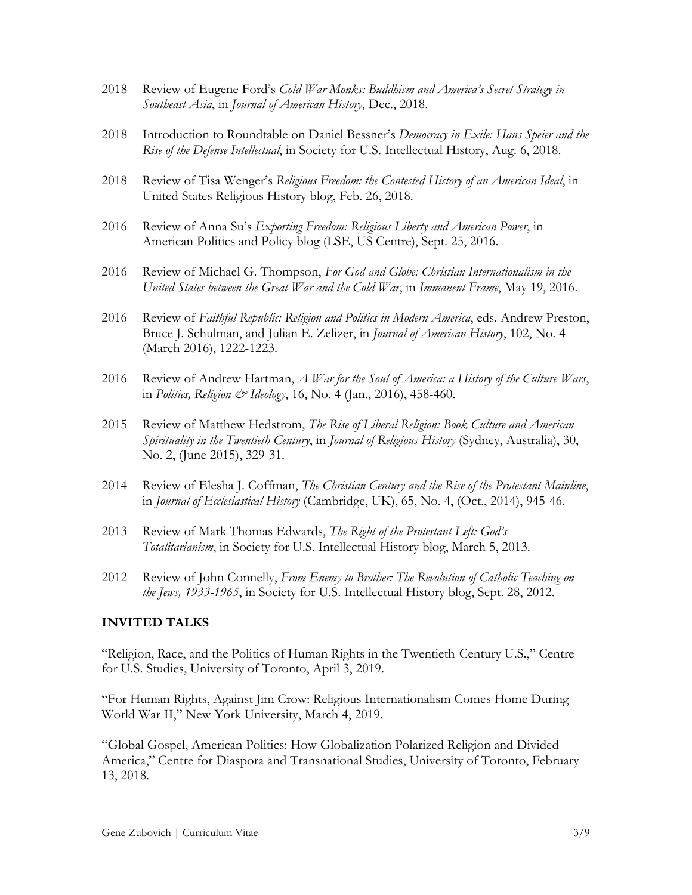- 2018 Review of Eugene Ford's *Cold War Monks: Buddhism and America's Secret Strategy in Southeast Asia*, in *Journal of American History*, Dec., 2018.
- 2018 Introduction to Roundtable on Daniel Bessner's *Democracy in Exile: Hans Speier and the Rise of the Defense Intellectual*, in Society for U.S. Intellectual History, Aug. 6, 2018.
- 2018 Review of Tisa Wenger's *Religious Freedom: the Contested History of an American Ideal*, in United States Religious History blog, Feb. 26, 2018.
- 2016 Review of Anna Su's *Exporting Freedom: Religious Liberty and American Power*, in American Politics and Policy blog (LSE, US Centre), Sept. 25, 2016.
- 2016 Review of Michael G. Thompson, *For God and Globe: Christian Internationalism in the United States between the Great War and the Cold War*, in *Immanent Frame*, May 19, 2016.
- 2016 Review of *Faithful Republic: Religion and Politics in Modern America*, eds. Andrew Preston, Bruce J. Schulman, and Julian E. Zelizer, in *Journal of American History*, 102, No. 4 (March 2016), 1222-1223.
- 2016 Review of Andrew Hartman, *A War for the Soul of America: a History of the Culture Wars*, in *Politics, Religion & Ideology*, 16, No. 4 (Jan., 2016), 458-460.
- 2015 Review of Matthew Hedstrom, *The Rise of Liberal Religion: Book Culture and American Spirituality in the Twentieth Century*, in *Journal of Religious History* (Sydney, Australia), 30, No. 2, (June 2015), 329-31.
- 2014 Review of Elesha J. Coffman, *The Christian Century and the Rise of the Protestant Mainline*, in *Journal of Ecclesiastical History* (Cambridge, UK), 65, No. 4, (Oct., 2014), 945-46.
- 2013 Review of Mark Thomas Edwards, *The Right of the Protestant Left: God's Totalitarianism*, in Society for U.S. Intellectual History blog, March 5, 2013.
- 2012 Review of John Connelly, *From Enemy to Brother: The Revolution of Catholic Teaching on the Jews, 1933-1965*, in Society for U.S. Intellectual History blog, Sept. 28, 2012.

#### **INVITED TALKS**

"Religion, Race, and the Politics of Human Rights in the Twentieth-Century U.S.," Centre for U.S. Studies, University of Toronto, April 3, 2019.

"For Human Rights, Against Jim Crow: Religious Internationalism Comes Home During World War II," New York University, March 4, 2019.

"Global Gospel, American Politics: How Globalization Polarized Religion and Divided America," Centre for Diaspora and Transnational Studies, University of Toronto, February 13, 2018.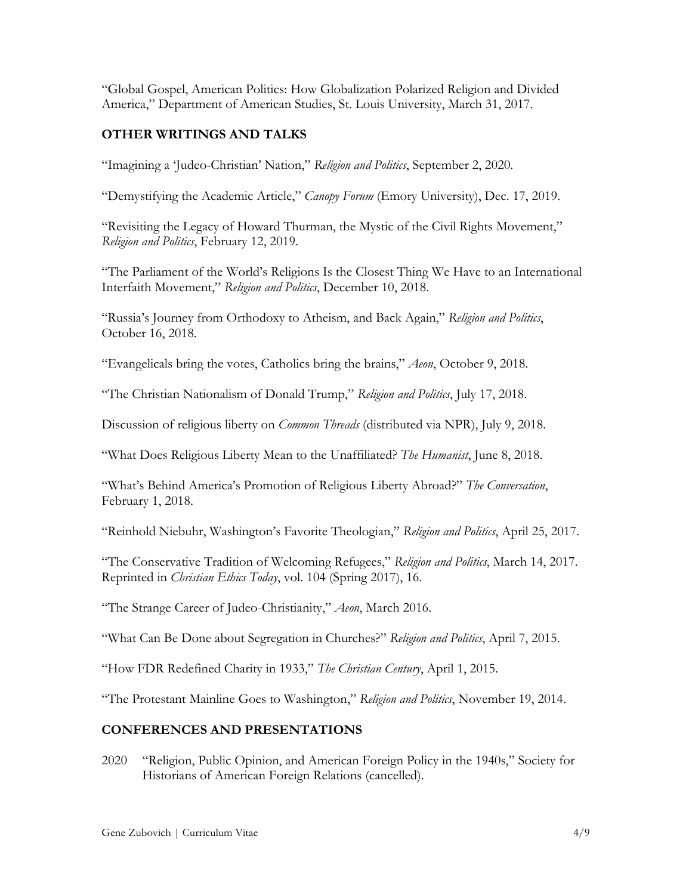"Global Gospel, American Politics: How Globalization Polarized Religion and Divided America," Department of American Studies, St. Louis University, March 31, 2017.

# **OTHER WRITINGS AND TALKS**

"Imagining a 'Judeo-Christian' Nation," *Religion and Politics*, September 2, 2020.

"Demystifying the Academic Article," *Canopy Forum* (Emory University), Dec. 17, 2019.

"Revisiting the Legacy of Howard Thurman, the Mystic of the Civil Rights Movement," *Religion and Politics*, February 12, 2019.

"The Parliament of the World's Religions Is the Closest Thing We Have to an International Interfaith Movement," *Religion and Politics*, December 10, 2018.

"Russia's Journey from Orthodoxy to Atheism, and Back Again," *Religion and Politics*, October 16, 2018.

"Evangelicals bring the votes, Catholics bring the brains," *Aeon*, October 9, 2018.

"The Christian Nationalism of Donald Trump," *Religion and Politics*, July 17, 2018.

Discussion of religious liberty on *Common Threads* (distributed via NPR), July 9, 2018.

"What Does Religious Liberty Mean to the Unaffiliated? *The Humanist*, June 8, 2018.

"What's Behind America's Promotion of Religious Liberty Abroad?" *The Conversation*, February 1, 2018.

"Reinhold Niebuhr, Washington's Favorite Theologian," *Religion and Politics*, April 25, 2017.

"The Conservative Tradition of Welcoming Refugees," *Religion and Politics*, March 14, 2017. Reprinted in *Christian Ethics Today*, vol. 104 (Spring 2017), 16.

"The Strange Career of Judeo-Christianity," *Aeon*, March 2016.

"What Can Be Done about Segregation in Churches?" *Religion and Politics*, April 7, 2015.

"How FDR Redefined Charity in 1933," *The Christian Century*, April 1, 2015.

"The Protestant Mainline Goes to Washington," *Religion and Politics*, November 19, 2014.

### **CONFERENCES AND PRESENTATIONS**

2020 "Religion, Public Opinion, and American Foreign Policy in the 1940s," Society for Historians of American Foreign Relations (cancelled).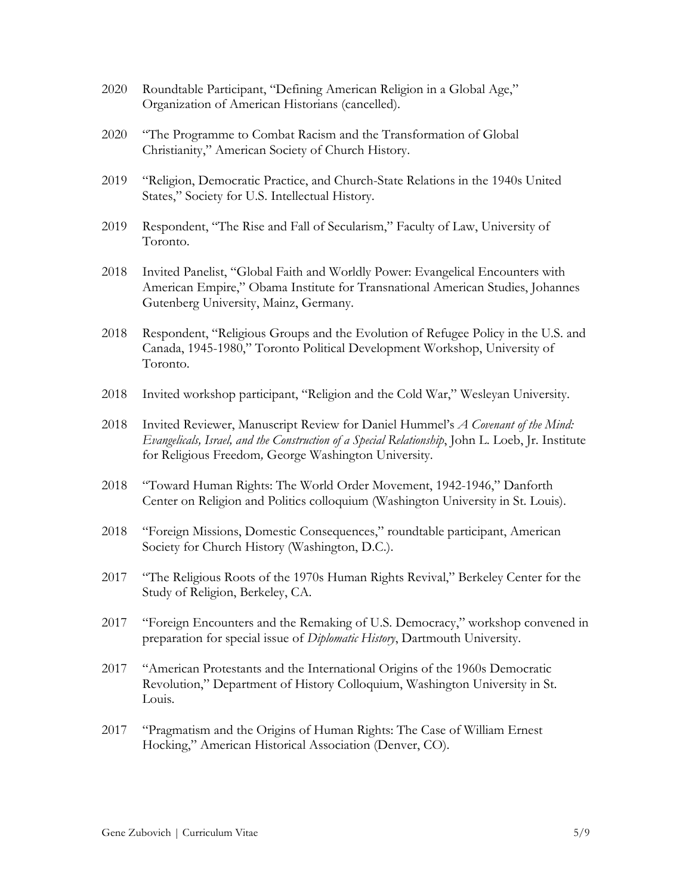- 2020 Roundtable Participant, "Defining American Religion in a Global Age," Organization of American Historians (cancelled).
- 2020 "The Programme to Combat Racism and the Transformation of Global Christianity," American Society of Church History.
- 2019 "Religion, Democratic Practice, and Church-State Relations in the 1940s United States," Society for U.S. Intellectual History.
- 2019 Respondent, "The Rise and Fall of Secularism," Faculty of Law, University of Toronto.
- 2018 Invited Panelist, "Global Faith and Worldly Power: Evangelical Encounters with American Empire," Obama Institute for Transnational American Studies, Johannes Gutenberg University, Mainz, Germany.
- 2018 Respondent, "Religious Groups and the Evolution of Refugee Policy in the U.S. and Canada, 1945-1980," Toronto Political Development Workshop, University of Toronto.
- 2018 Invited workshop participant, "Religion and the Cold War," Wesleyan University.
- 2018 Invited Reviewer, Manuscript Review for Daniel Hummel's *A Covenant of the Mind: Evangelicals, Israel, and the Construction of a Special Relationship*, John L. Loeb, Jr. Institute for Religious Freedom*,* George Washington University.
- 2018 "Toward Human Rights: The World Order Movement, 1942-1946," Danforth Center on Religion and Politics colloquium (Washington University in St. Louis).
- 2018 "Foreign Missions, Domestic Consequences," roundtable participant, American Society for Church History (Washington, D.C.).
- 2017 "The Religious Roots of the 1970s Human Rights Revival," Berkeley Center for the Study of Religion, Berkeley, CA.
- 2017 "Foreign Encounters and the Remaking of U.S. Democracy," workshop convened in preparation for special issue of *Diplomatic History*, Dartmouth University.
- 2017 "American Protestants and the International Origins of the 1960s Democratic Revolution," Department of History Colloquium, Washington University in St. Louis.
- 2017 "Pragmatism and the Origins of Human Rights: The Case of William Ernest Hocking," American Historical Association (Denver, CO).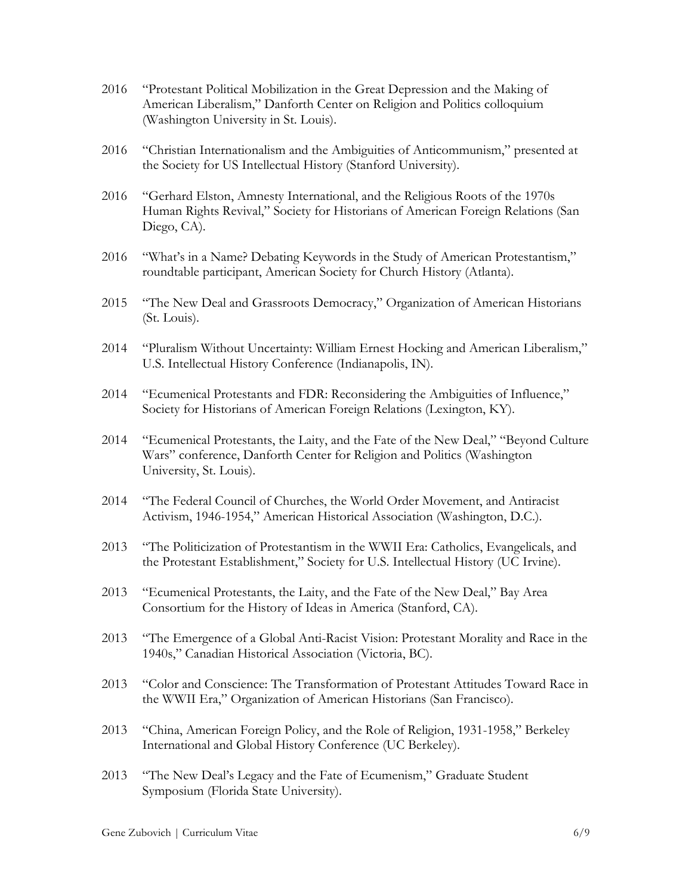- 2016 "Protestant Political Mobilization in the Great Depression and the Making of American Liberalism," Danforth Center on Religion and Politics colloquium (Washington University in St. Louis).
- 2016 "Christian Internationalism and the Ambiguities of Anticommunism," presented at the Society for US Intellectual History (Stanford University).
- 2016 "Gerhard Elston, Amnesty International, and the Religious Roots of the 1970s Human Rights Revival," Society for Historians of American Foreign Relations (San Diego, CA).
- 2016 "What's in a Name? Debating Keywords in the Study of American Protestantism," roundtable participant, American Society for Church History (Atlanta).
- 2015 "The New Deal and Grassroots Democracy," Organization of American Historians (St. Louis).
- 2014 "Pluralism Without Uncertainty: William Ernest Hocking and American Liberalism," U.S. Intellectual History Conference (Indianapolis, IN).
- 2014 "Ecumenical Protestants and FDR: Reconsidering the Ambiguities of Influence," Society for Historians of American Foreign Relations (Lexington, KY).
- 2014 "Ecumenical Protestants, the Laity, and the Fate of the New Deal," "Beyond Culture Wars" conference, Danforth Center for Religion and Politics (Washington University, St. Louis).
- 2014 "The Federal Council of Churches, the World Order Movement, and Antiracist Activism, 1946-1954," American Historical Association (Washington, D.C.).
- 2013 "The Politicization of Protestantism in the WWII Era: Catholics, Evangelicals, and the Protestant Establishment," Society for U.S. Intellectual History (UC Irvine).
- 2013 "Ecumenical Protestants, the Laity, and the Fate of the New Deal," Bay Area Consortium for the History of Ideas in America (Stanford, CA).
- 2013 "The Emergence of a Global Anti-Racist Vision: Protestant Morality and Race in the 1940s," Canadian Historical Association (Victoria, BC).
- 2013 "Color and Conscience: The Transformation of Protestant Attitudes Toward Race in the WWII Era," Organization of American Historians (San Francisco).
- 2013 "China, American Foreign Policy, and the Role of Religion, 1931-1958," Berkeley International and Global History Conference (UC Berkeley).
- 2013 "The New Deal's Legacy and the Fate of Ecumenism," Graduate Student Symposium (Florida State University).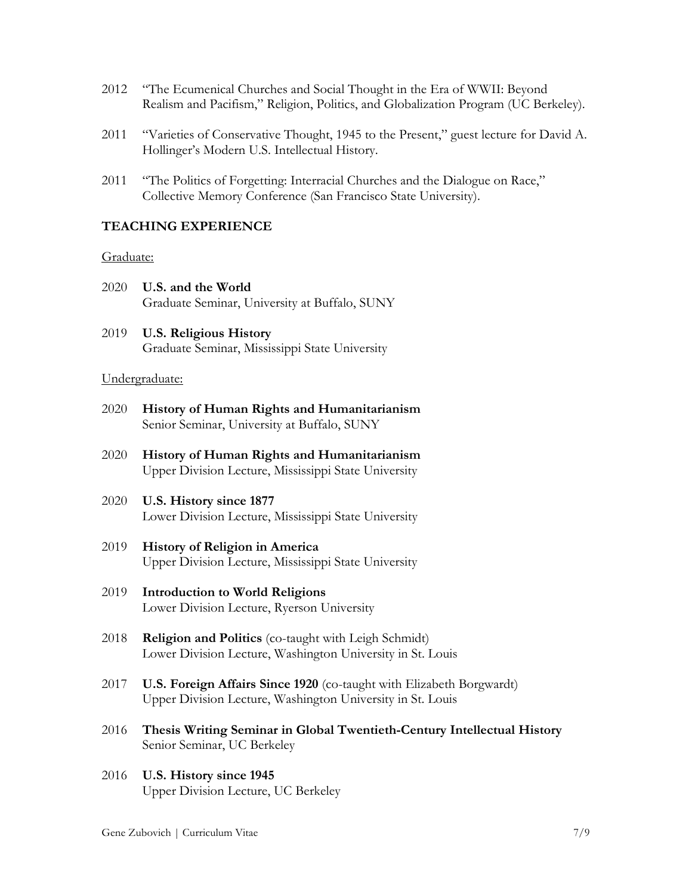- 2012 "The Ecumenical Churches and Social Thought in the Era of WWII: Beyond Realism and Pacifism," Religion, Politics, and Globalization Program (UC Berkeley).
- 2011 "Varieties of Conservative Thought, 1945 to the Present," guest lecture for David A. Hollinger's Modern U.S. Intellectual History.
- 2011 "The Politics of Forgetting: Interracial Churches and the Dialogue on Race," Collective Memory Conference (San Francisco State University).

### **TEACHING EXPERIENCE**

#### Graduate:

- 2020 **U.S. and the World** Graduate Seminar, University at Buffalo, SUNY
- 2019 **U.S. Religious History** Graduate Seminar, Mississippi State University

#### Undergraduate:

- 2020 **History of Human Rights and Humanitarianism** Senior Seminar, University at Buffalo, SUNY
- 2020 **History of Human Rights and Humanitarianism** Upper Division Lecture, Mississippi State University
- 2020 **U.S. History since 1877** Lower Division Lecture, Mississippi State University
- 2019 **History of Religion in America** Upper Division Lecture, Mississippi State University
- 2019 **Introduction to World Religions** Lower Division Lecture, Ryerson University
- 2018 **Religion and Politics** (co-taught with Leigh Schmidt) Lower Division Lecture, Washington University in St. Louis
- 2017 **U.S. Foreign Affairs Since 1920** (co-taught with Elizabeth Borgwardt) Upper Division Lecture, Washington University in St. Louis
- 2016 **Thesis Writing Seminar in Global Twentieth-Century Intellectual History** Senior Seminar, UC Berkeley
- 2016 **U.S. History since 1945** Upper Division Lecture, UC Berkeley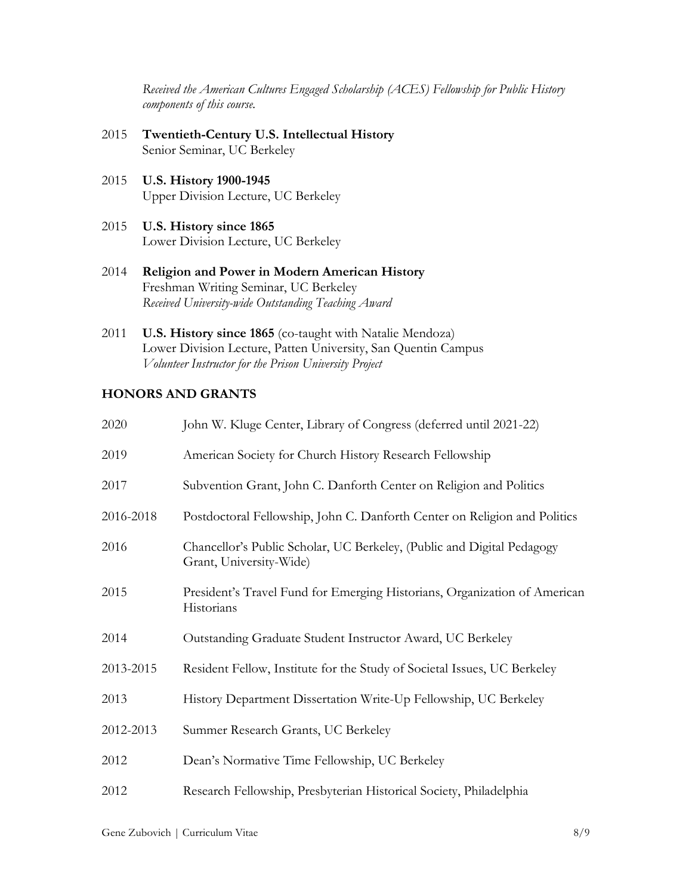*Received the American Cultures Engaged Scholarship (ACES) Fellowship for Public History components of this course.*

- 2015 **Twentieth-Century U.S. Intellectual History** Senior Seminar, UC Berkeley
- 2015 **U.S. History 1900-1945** Upper Division Lecture, UC Berkeley
- 2015 **U.S. History since 1865** Lower Division Lecture, UC Berkeley
- 2014 **Religion and Power in Modern American History** Freshman Writing Seminar, UC Berkeley *Received University-wide Outstanding Teaching Award*
- 2011 **U.S. History since 1865** (co-taught with Natalie Mendoza) Lower Division Lecture, Patten University, San Quentin Campus *Volunteer Instructor for the Prison University Project*

## **HONORS AND GRANTS**

| 2020      | John W. Kluge Center, Library of Congress (deferred until 2021-22)                                |
|-----------|---------------------------------------------------------------------------------------------------|
| 2019      | American Society for Church History Research Fellowship                                           |
| 2017      | Subvention Grant, John C. Danforth Center on Religion and Politics                                |
| 2016-2018 | Postdoctoral Fellowship, John C. Danforth Center on Religion and Politics                         |
| 2016      | Chancellor's Public Scholar, UC Berkeley, (Public and Digital Pedagogy<br>Grant, University-Wide) |
| 2015      | President's Travel Fund for Emerging Historians, Organization of American<br>Historians           |
| 2014      | Outstanding Graduate Student Instructor Award, UC Berkeley                                        |
| 2013-2015 | Resident Fellow, Institute for the Study of Societal Issues, UC Berkeley                          |
| 2013      | History Department Dissertation Write-Up Fellowship, UC Berkeley                                  |
| 2012-2013 | Summer Research Grants, UC Berkeley                                                               |
| 2012      | Dean's Normative Time Fellowship, UC Berkeley                                                     |
| 2012      | Research Fellowship, Presbyterian Historical Society, Philadelphia                                |